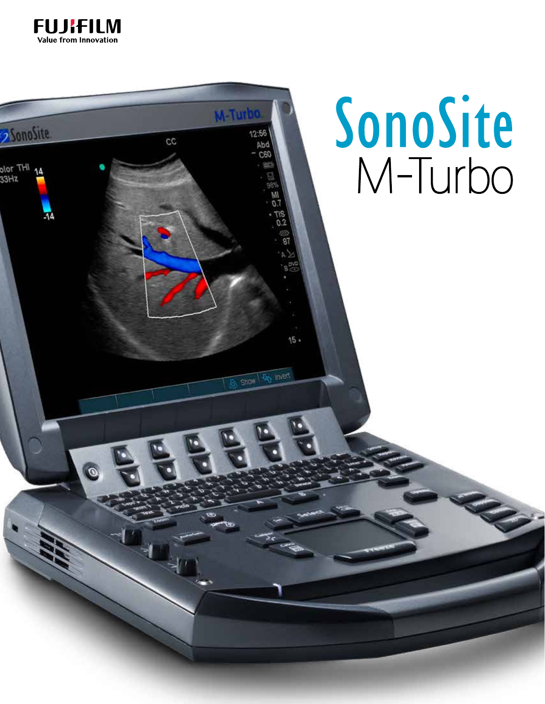

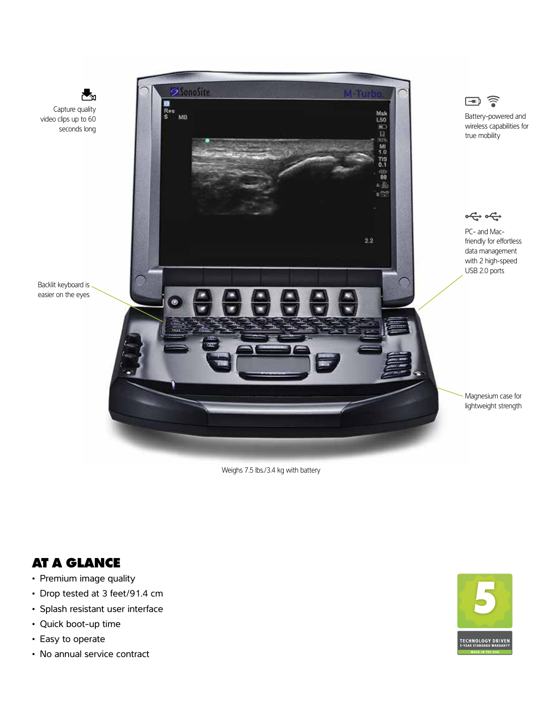

Weighs 7.5 lbs./3.4 kg with battery

### **AT A GLANCE**

- Premium image quality
- Drop tested at 3 feet/91.4 cm
- Splash resistant user interface
- Quick boot-up time
- Easy to operate



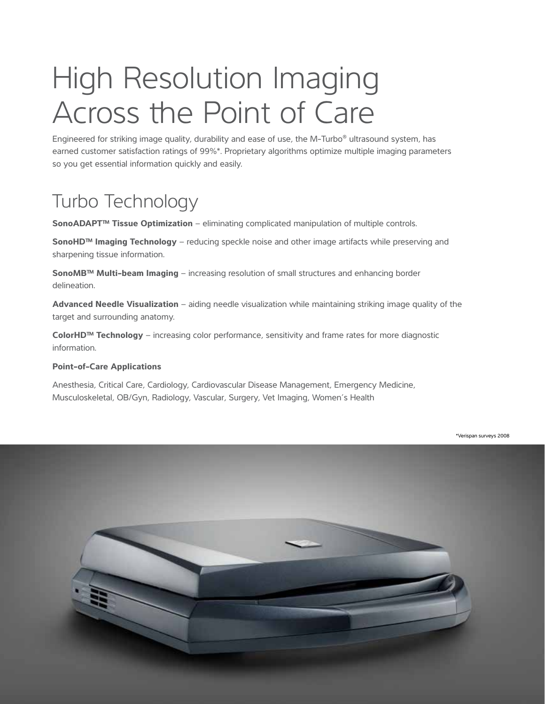# High Resolution Imaging Across the Point of Care

Engineered for striking image quality, durability and ease of use, the M-Turbo® ultrasound system, has earned customer satisfaction ratings of 99%\*. Proprietary algorithms optimize multiple imaging parameters so you get essential information quickly and easily.

## Turbo Technology

**SonoADAPT™ Tissue Optimization** – eliminating complicated manipulation of multiple controls.

**SonoHD™ Imaging Technology** – reducing speckle noise and other image artifacts while preserving and sharpening tissue information.

**SonoMB™ Multi-beam Imaging** – increasing resolution of small structures and enhancing border delineation.

**Advanced Needle Visualization** – aiding needle visualization while maintaining striking image quality of the target and surrounding anatomy.

**ColorHD™ Technology** – increasing color performance, sensitivity and frame rates for more diagnostic information.

#### **Point-of-Care Applications**

Anesthesia, Critical Care, Cardiology, Cardiovascular Disease Management, Emergency Medicine, Musculoskeletal, OB/Gyn, Radiology, Vascular, Surgery, Vet Imaging, Women's Health

\*Verispan surveys 2008

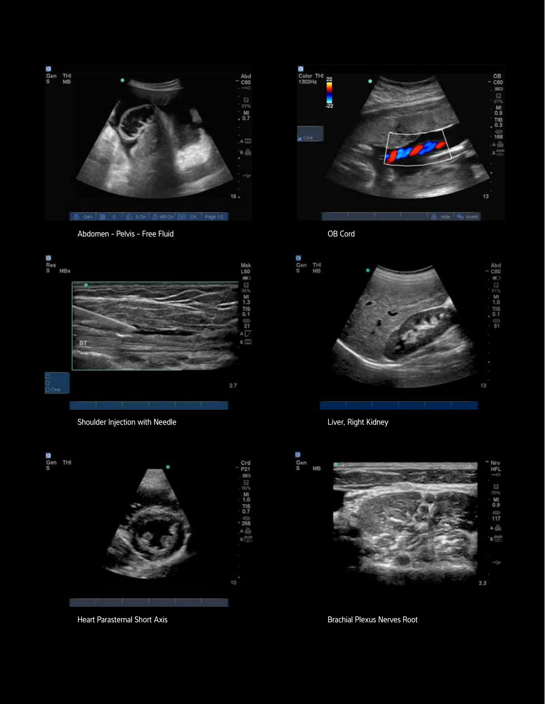

Abdomen - Pelvis - Free Fluid



Shoulder Injection with Needle



Heart Parasternal Short Axis



OB Cord



Liver, Right Kidney



Brachial Plexus Nerves Root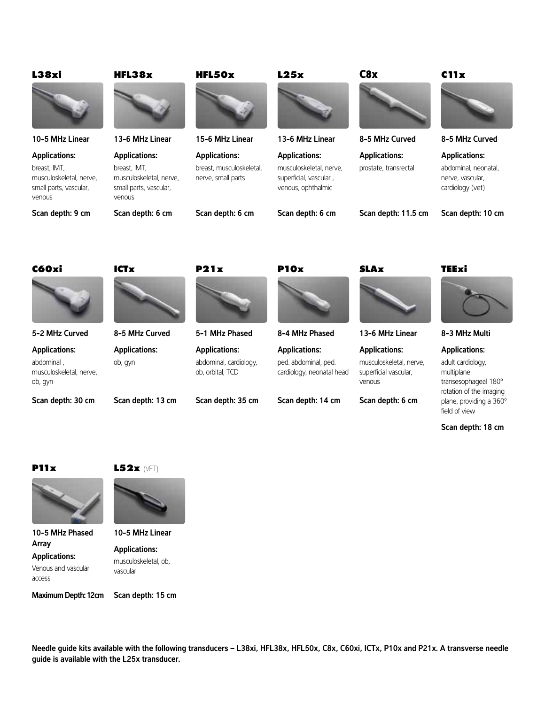| <b>L38xi</b>                                                                                        | HFL38x                                                                                              | <b>HFL50x</b>                                                          | L25x                                                                                            | C8x                                                                                | C11x                                                                                                       |
|-----------------------------------------------------------------------------------------------------|-----------------------------------------------------------------------------------------------------|------------------------------------------------------------------------|-------------------------------------------------------------------------------------------------|------------------------------------------------------------------------------------|------------------------------------------------------------------------------------------------------------|
|                                                                                                     |                                                                                                     |                                                                        |                                                                                                 |                                                                                    |                                                                                                            |
| 10-5 MHz Linear                                                                                     | 13-6 MHz Linear                                                                                     | 15-6 MHz Linear                                                        | 13-6 MHz Linear                                                                                 | 8-5 MHz Curved                                                                     | 8-5 MHz Curved                                                                                             |
| <b>Applications:</b><br>breast, IMT,<br>musculoskeletal, nerve,<br>small parts, vascular,<br>venous | <b>Applications:</b><br>breast, IMT,<br>musculoskeletal, nerve,<br>small parts, vascular,<br>venous | <b>Applications:</b><br>breast, musculoskeletal,<br>nerve, small parts | <b>Applications:</b><br>musculoskeletal, nerve,<br>superficial, vascular,<br>venous, ophthalmic | <b>Applications:</b><br>prostate, transrectal                                      | <b>Applications:</b><br>abdominal, neonatal,<br>nerve, vascular,<br>cardiology (vet)                       |
| Scan depth: 9 cm                                                                                    | Scan depth: 6 cm                                                                                    | Scan depth: 6 cm                                                       | Scan depth: 6 cm                                                                                | Scan depth: 11.5 cm                                                                | Scan depth: 10 cm                                                                                          |
| C60xi                                                                                               | <b>ICTx</b>                                                                                         | <b>P21x</b>                                                            | <b>P10x</b>                                                                                     | <b>SLAx</b>                                                                        | <b>TEExi</b>                                                                                               |
|                                                                                                     |                                                                                                     |                                                                        |                                                                                                 |                                                                                    |                                                                                                            |
| 5-2 MHz Curved                                                                                      | 8-5 MHz Curved                                                                                      | 5-1 MHz Phased                                                         | 8-4 MHz Phased                                                                                  | 13-6 MHz Linear                                                                    | 8-3 MHz Multi                                                                                              |
| <b>Applications:</b><br>abdominal,<br>musculoskeletal, nerve,<br>ob, gyn                            | <b>Applications:</b><br>ob, gyn                                                                     | <b>Applications:</b><br>abdominal, cardiology,<br>ob, orbital, TCD     | <b>Applications:</b><br>ped. abdominal, ped.<br>cardiology, neonatal head                       | <b>Applications:</b><br>musculoskeletal, nerve,<br>superficial vascular,<br>venous | <b>Applications:</b><br>adult cardiology,<br>multiplane<br>transesophageal 180°<br>rotation of the imaging |
| Scan depth: 30 cm                                                                                   | Scan depth: 13 cm                                                                                   | Scan depth: 35 cm                                                      | Scan depth: 14 cm                                                                               | Scan depth: 6 cm                                                                   | plane, providing a 360°<br>field of view                                                                   |

Scan depth: 18 cm

#### **P11x**



10-5 MHz Phased Array Applications: Venous and vascular access





10-5 MHz Linear

Applications: musculoskeletal, ob, vascular

Maximum Depth: 12cm Scan depth: 15 cm

Needle guide kits available with the following transducers – L38xi, HFL38x, HFL50x, C8x, C60xi, ICTx, P10x and P21x. A transverse needle guide is available with the L25x transducer.